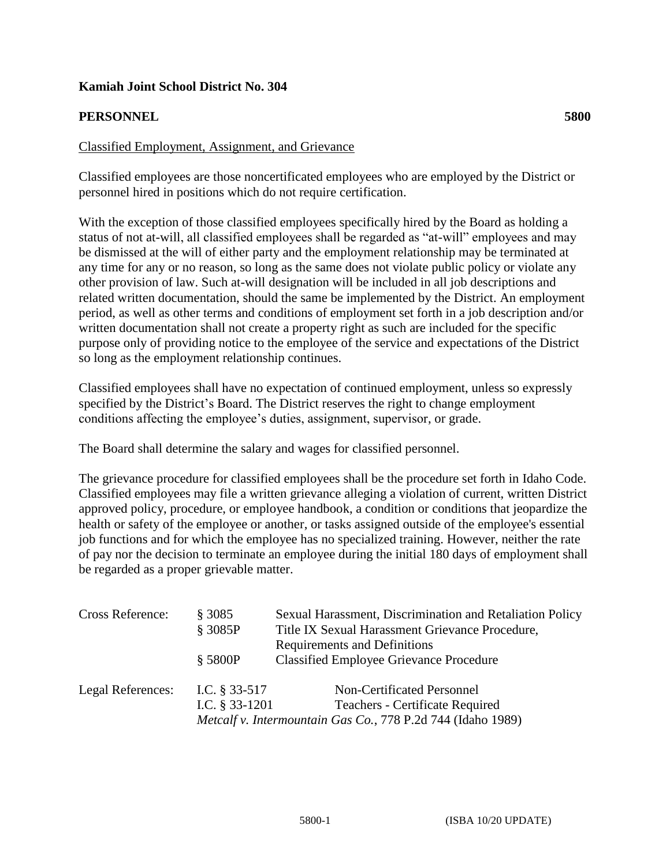## **Kamiah Joint School District No. 304**

## **PERSONNEL 5800**

## Classified Employment, Assignment, and Grievance

Classified employees are those noncertificated employees who are employed by the District or personnel hired in positions which do not require certification.

With the exception of those classified employees specifically hired by the Board as holding a status of not at-will, all classified employees shall be regarded as "at-will" employees and may be dismissed at the will of either party and the employment relationship may be terminated at any time for any or no reason, so long as the same does not violate public policy or violate any other provision of law. Such at-will designation will be included in all job descriptions and related written documentation, should the same be implemented by the District. An employment period, as well as other terms and conditions of employment set forth in a job description and/or written documentation shall not create a property right as such are included for the specific purpose only of providing notice to the employee of the service and expectations of the District so long as the employment relationship continues.

Classified employees shall have no expectation of continued employment, unless so expressly specified by the District's Board. The District reserves the right to change employment conditions affecting the employee's duties, assignment, supervisor, or grade.

The Board shall determine the salary and wages for classified personnel.

The grievance procedure for classified employees shall be the procedure set forth in Idaho Code. Classified employees may file a written grievance alleging a violation of current, written District approved policy, procedure, or employee handbook, a condition or conditions that jeopardize the health or safety of the employee or another, or tasks assigned outside of the employee's essential job functions and for which the employee has no specialized training. However, neither the rate of pay nor the decision to terminate an employee during the initial 180 days of employment shall be regarded as a proper grievable matter.

| <b>Cross Reference:</b> | § 3085<br>§ 3085P | Sexual Harassment, Discrimination and Retaliation Policy<br>Title IX Sexual Harassment Grievance Procedure,<br><b>Requirements and Definitions</b> |
|-------------------------|-------------------|----------------------------------------------------------------------------------------------------------------------------------------------------|
|                         | \$5800P           | <b>Classified Employee Grievance Procedure</b>                                                                                                     |
| Legal References:       | I.C. § 33-517     | Non-Certificated Personnel                                                                                                                         |
|                         | I.C. $§$ 33-1201  | Teachers - Certificate Required                                                                                                                    |
|                         |                   | Metcalf v. Intermountain Gas Co., 778 P.2d 744 (Idaho 1989)                                                                                        |